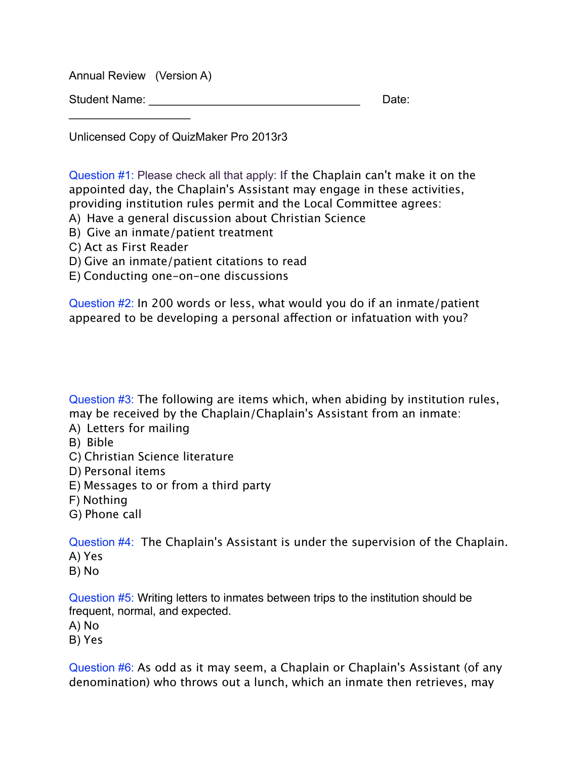Annual Review (Version A)

 $\mathcal{L}=\{1,2,3,4,5\}$ 

Student Name: \_\_\_\_\_\_\_\_\_\_\_\_\_\_\_\_\_\_\_\_\_\_\_\_\_\_\_\_\_\_\_\_\_ Date:

Unlicensed Copy of QuizMaker Pro 2013r3

Question #1: Please check all that apply: If the Chaplain can't make it on the appointed day, the Chaplain's Assistant may engage in these activities, providing institution rules permit and the Local Committee agrees:

- A) Have a general discussion about Christian Science
- B) Give an inmate/patient treatment
- C) Act as First Reader
- D) Give an inmate/patient citations to read
- E) Conducting one-on-one discussions

Question #2: In 200 words or less, what would you do if an inmate/patient appeared to be developing a personal afection or infatuation with you?

Question #3: The following are items which, when abiding by institution rules, may be received by the Chaplain/Chaplain's Assistant from an inmate:

- A) Letters for mailing
- B) Bible
- C) Christian Science literature
- D) Personal items
- E) Messages to or from a third party
- F) Nothing
- G) Phone call

Question #4: The Chaplain's Assistant is under the supervision of the Chaplain. A) Yes

B) No

Question #5: Writing letters to inmates between trips to the institution should be frequent, normal, and expected.

A) No

B) Yes

Question #6: As odd as it may seem, a Chaplain or Chaplain's Assistant (of any denomination) who throws out a lunch, which an inmate then retrieves, may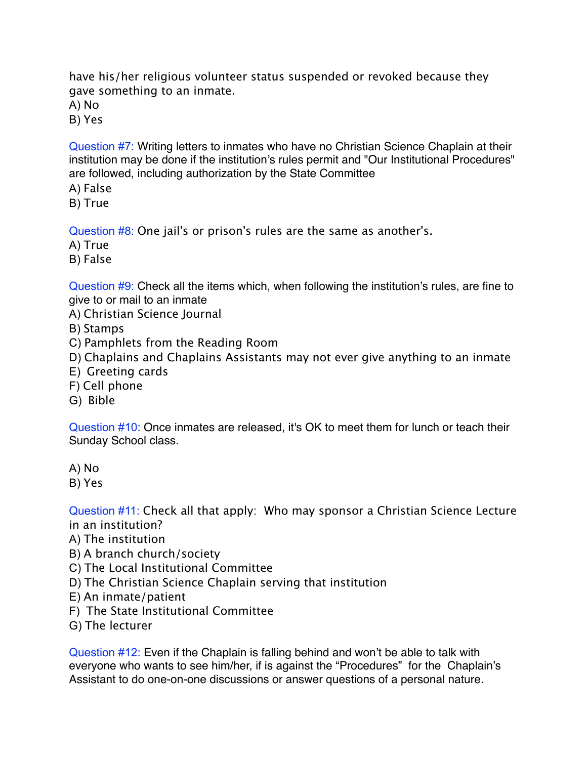have his/her religious volunteer status suspended or revoked because they gave something to an inmate.

A) No

B) Yes

Question #7: Writing letters to inmates who have no Christian Science Chaplain at their institution may be done if the institution's rules permit and "Our Institutional Procedures" are followed, including authorization by the State Committee

- A) False
- B) True

Question #8: One jail's or prison's rules are the same as another's.

- A) True
- B) False

Question #9: Check all the items which, when following the institution's rules, are fine to give to or mail to an inmate

A) Christian Science Journal

- B) Stamps
- C) Pamphlets from the Reading Room
- D) Chaplains and Chaplains Assistants may not ever give anything to an inmate
- E) Greeting cards
- F) Cell phone
- G) Bible

Question #10: Once inmates are released, it's OK to meet them for lunch or teach their Sunday School class.

- A) No
- B) Yes

Question #11: Check all that apply: Who may sponsor a Christian Science Lecture in an institution?

- A) The institution
- B) A branch church/society
- C) The Local Institutional Committee
- D) The Christian Science Chaplain serving that institution
- E) An inmate/patient
- F) The State Institutional Committee
- G) The lecturer

Question #12: Even if the Chaplain is falling behind and won't be able to talk with everyone who wants to see him/her, if is against the "Procedures" for the Chaplain's Assistant to do one-on-one discussions or answer questions of a personal nature.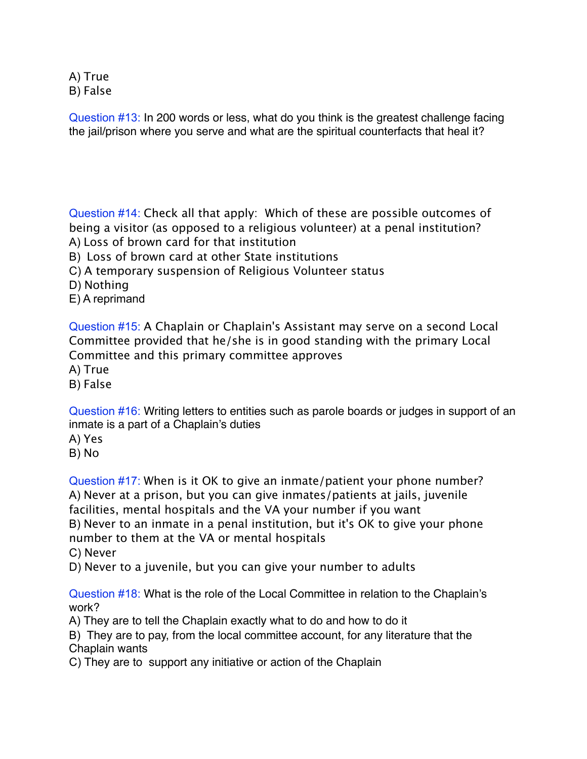A) True B) False

Question #13: In 200 words or less, what do you think is the greatest challenge facing the jail/prison where you serve and what are the spiritual counterfacts that heal it?

Question #14: Check all that apply: Which of these are possible outcomes of being a visitor (as opposed to a religious volunteer) at a penal institution? A) Loss of brown card for that institution

B) Loss of brown card at other State institutions

C) A temporary suspension of Religious Volunteer status

D) Nothing

E) A reprimand

Question #15: A Chaplain or Chaplain's Assistant may serve on a second Local Committee provided that he/she is in good standing with the primary Local Committee and this primary committee approves

A) True

B) False

Question #16: Writing letters to entities such as parole boards or judges in support of an inmate is a part of a Chaplain's duties

A) Yes

B) No

Question #17: When is it OK to give an inmate/patient your phone number? A) Never at a prison, but you can give inmates/patients at jails, juvenile facilities, mental hospitals and the VA your number if you want B) Never to an inmate in a penal institution, but it's OK to give your phone number to them at the VA or mental hospitals C) Never

D) Never to a juvenile, but you can give your number to adults

Question #18: What is the role of the Local Committee in relation to the Chaplain's work?

A) They are to tell the Chaplain exactly what to do and how to do it

B) They are to pay, from the local committee account, for any literature that the Chaplain wants

C) They are to support any initiative or action of the Chaplain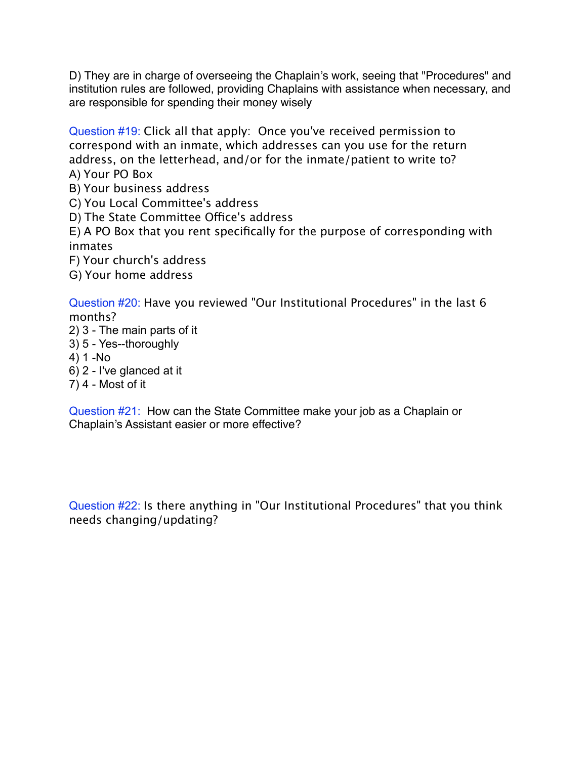D) They are in charge of overseeing the Chaplain's work, seeing that "Procedures" and institution rules are followed, providing Chaplains with assistance when necessary, and are responsible for spending their money wisely

Question #19: Click all that apply: Once you've received permission to correspond with an inmate, which addresses can you use for the return address, on the letterhead, and/or for the inmate/patient to write to? A) Your PO Box

B) Your business address

C) You Local Committee's address

D) The State Committee Office's address

E) A PO Box that you rent specifically for the purpose of corresponding with inmates

F) Your church's address

G) Your home address

Question #20: Have you reviewed "Our Institutional Procedures" in the last 6 months?

- 2) 3 The main parts of it
- 3) 5 Yes--thoroughly
- 4) 1 -No
- 6) 2 I've glanced at it
- 7) 4 Most of it

Question #21: How can the State Committee make your job as a Chaplain or Chaplain's Assistant easier or more effective?

Question #22: Is there anything in "Our Institutional Procedures" that you think needs changing/updating?